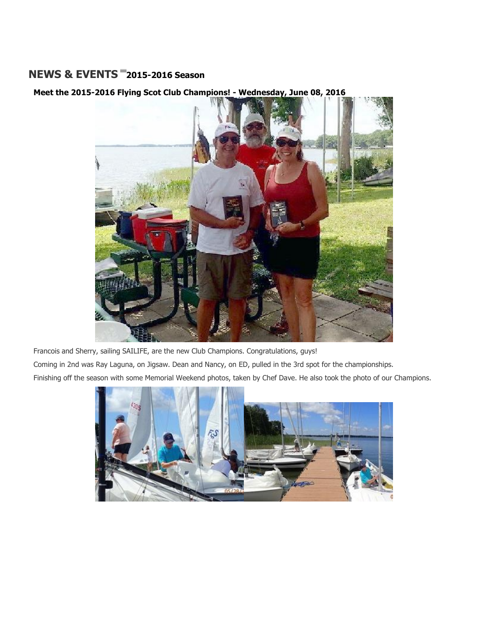# **NEWS & EVENTS 2015-2016 Season**

# **Meet the 2015-2016 Flying Scot Club Champions! - Wednesday, June 08, 2016**



Francois and Sherry, sailing SAILIFE, are the new Club Champions. Congratulations, guys!

Coming in 2nd was Ray Laguna, on Jigsaw. Dean and Nancy, on ED, pulled in the 3rd spot for the championships. Finishing off the season with some Memorial Weekend photos, taken by Chef Dave. He also took the photo of our Champions.

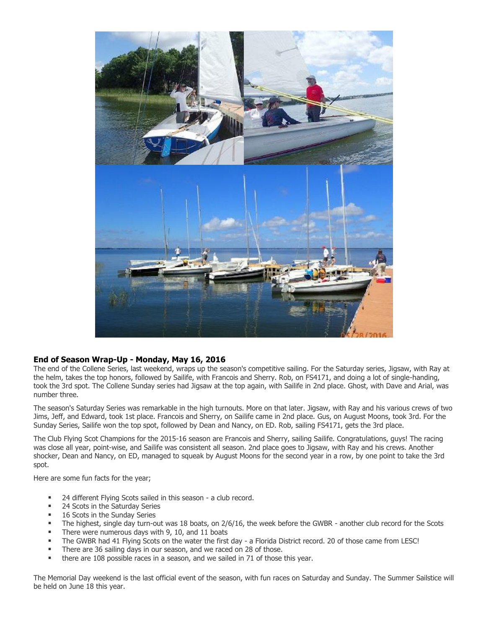

## **End of Season Wrap-Up - Monday, May 16, 2016**

The end of the Collene Series, last weekend, wraps up the season's competitive sailing. For the Saturday series, Jigsaw, with Ray at the helm, takes the top honors, followed by Sailife, with Francois and Sherry. Rob, on FS4171, and doing a lot of single-handing, took the 3rd spot. The Collene Sunday series had Jigsaw at the top again, with Sailife in 2nd place. Ghost, with Dave and Arial, was number three.

The season's Saturday Series was remarkable in the high turnouts. More on that later. Jigsaw, with Ray and his various crews of two Jims, Jeff, and Edward, took 1st place. Francois and Sherry, on Sailife came in 2nd place. Gus, on August Moons, took 3rd. For the Sunday Series, Sailife won the top spot, followed by Dean and Nancy, on ED. Rob, sailing FS4171, gets the 3rd place.

The Club Flying Scot Champions for the 2015-16 season are Francois and Sherry, sailing Sailife. Congratulations, guys! The racing was close all year, point-wise, and Sailife was consistent all season. 2nd place goes to Jigsaw, with Ray and his crews. Another shocker, Dean and Nancy, on ED, managed to squeak by August Moons for the second year in a row, by one point to take the 3rd spot.

Here are some fun facts for the year;

- 24 different Flying Scots sailed in this season a club record.
- 24 Scots in the Saturday Series
- 16 Scots in the Sunday Series
- The highest, single day turn-out was 18 boats, on 2/6/16, the week before the GWBR another club record for the Scots
- There were numerous days with 9, 10, and 11 boats
- The GWBR had 41 Flying Scots on the water the first day a Florida District record. 20 of those came from LESC!
- There are 36 sailing days in our season, and we raced on 28 of those.
- there are 108 possible races in a season, and we sailed in 71 of those this year.

The Memorial Day weekend is the last official event of the season, with fun races on Saturday and Sunday. The Summer Sailstice will be held on June 18 this year.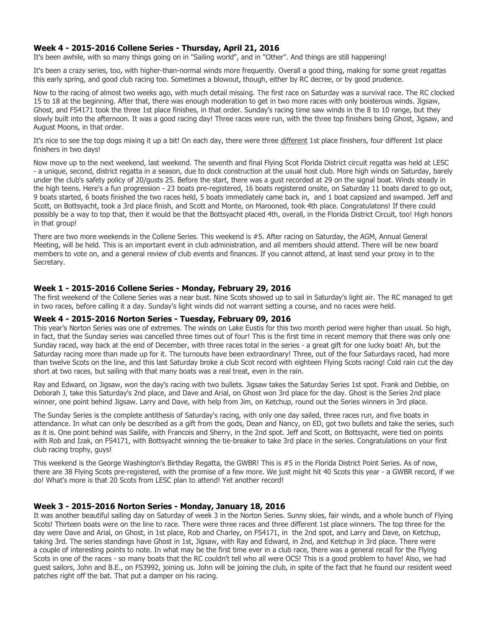# **Week 4 - 2015-2016 Collene Series - Thursday, April 21, 2016**

It's been awhile, with so many things going on in "Sailing world", and in "Other". And things are still happening!

It's been a crazy series, too, with higher-than-normal winds more frequently. Overall a good thing, making for some great regattas this early spring, and good club racing too. Sometimes a blowout, though, either by RC decree, or by good prudence.

Now to the racing of almost two weeks ago, with much detail missing. The first race on Saturday was a survival race. The RC clocked 15 to 18 at the beginning. After that, there was enough moderation to get in two more races with only boisterous winds. Jigsaw, Ghost, and FS4171 took the three 1st place finishes, in that order. Sunday's racing time saw winds in the 8 to 10 range, but they slowly built into the afternoon. It was a good racing day! Three races were run, with the three top finishers being Ghost, Jigsaw, and August Moons, in that order.

It's nice to see the top dogs mixing it up a bit! On each day, there were three different 1st place finishers, four different 1st place finishers in two days!

Now move up to the next weekend, last weekend. The seventh and final Flying Scot Florida District circuit regatta was held at LESC - a unique, second, district regatta in a season, due to dock construction at the usual host club. More high winds on Saturday, barely under the club's safety policy of 20/gusts 25. Before the start, there was a gust recorded at 29 on the signal boat. Winds steady in the high teens. Here's a fun progression - 23 boats pre-registered, 16 boats registered onsite, on Saturday 11 boats dared to go out, 9 boats started, 6 boats finished the two races held, 5 boats immediately came back in, and 1 boat capsized and swamped. Jeff and Scott, on Bottsyacht, took a 3rd place finish, and Scott and Monte, on Marooned, took 4th place. Congratulatons! If there could possibly be a way to top that, then it would be that the Bottsyacht placed 4th, overall, in the Florida District Circuit, too! High honors in that group!

There are two more weekends in the Collene Series. This weekend is #5. After racing on Saturday, the AGM, Annual General Meeting, will be held. This is an important event in club administration, and all members should attend. There will be new board members to vote on, and a general review of club events and finances. If you cannot attend, at least send your proxy in to the Secretary.

#### **Week 1 - 2015-2016 Collene Series - Monday, February 29, 2016**

The first weekend of the Collene Series was a near bust. Nine Scots showed up to sail in Saturday's light air. The RC managed to get in two races, before calling it a day. Sunday's light winds did not warrant setting a course, and no races were held.

#### **Week 4 - 2015-2016 Norton Series - Tuesday, February 09, 2016**

This year's Norton Series was one of extremes. The winds on Lake Eustis for this two month period were higher than usual. So high, in fact, that the Sunday series was cancelled three times out of four! This is the first time in recent memory that there was only one Sunday raced, way back at the end of December, with three races total in the series - a great gift for one lucky boat! Ah, but the Saturday racing more than made up for it. The turnouts have been extraordinary! Three, out of the four Saturdays raced, had more than twelve Scots on the line, and this last Saturday broke a club Scot record with eighteen Flying Scots racing! Cold rain cut the day short at two races, but sailing with that many boats was a real treat, even in the rain.

Ray and Edward, on Jigsaw, won the day's racing with two bullets. Jigsaw takes the Saturday Series 1st spot. Frank and Debbie, on Deborah J, take this Saturday's 2nd place, and Dave and Arial, on Ghost won 3rd place for the day. Ghost is the Series 2nd place winner, one point behind Jigsaw. Larry and Dave, with help from Jim, on Ketchup, round out the Series winners in 3rd place.

The Sunday Series is the complete antithesis of Saturday's racing, with only one day sailed, three races run, and five boats in attendance. In what can only be described as a gift from the gods, Dean and Nancy, on ED, got two bullets and take the series, such as it is. One point behind was Sailife, with Francois and Sherry, in the 2nd spot. Jeff and Scott, on Bottsyacht, were tied on points with Rob and Izak, on FS4171, with Bottsyacht winning the tie-breaker to take 3rd place in the series. Congratulations on your first club racing trophy, guys!

This weekend is the George Washington's Birthday Regatta, the GWBR! This is #5 in the Florida District Point Series. As of now, there are 38 Flying Scots pre-registered, with the promise of a few more. We just might hit 40 Scots this year - a GWBR record, if we do! What's more is that 20 Scots from LESC plan to attend! Yet another record!

#### **Week 3 - 2015-2016 Norton Series - Monday, January 18, 2016**

It was another beautiful sailing day on Saturday of week 3 in the Norton Series. Sunny skies, fair winds, and a whole bunch of Flying Scots! Thirteen boats were on the line to race. There were three races and three different 1st place winners. The top three for the day were Dave and Arial, on Ghost, in 1st place, Rob and Charley, on FS4171, in the 2nd spot, and Larry and Dave, on Ketchup, taking 3rd. The series standings have Ghost in 1st, Jigsaw, with Ray and Edward, in 2nd, and Ketchup in 3rd place. There were a couple of interesting points to note. In what may be the first time ever in a club race, there was a general recall for the Flying Scots in one of the races - so many boats that the RC couldn't tell who all were OCS! This is a good problem to have! Also, we had guest sailors, John and B.E., on FS3992, joining us. John will be joining the club, in spite of the fact that he found our resident weed patches right off the bat. That put a damper on his racing.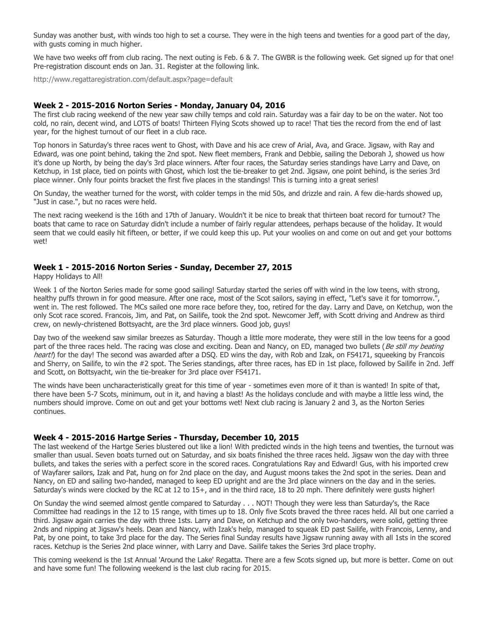Sunday was another bust, with winds too high to set a course. They were in the high teens and twenties for a good part of the day, with gusts coming in much higher.

We have two weeks off from club racing. The next outing is Feb. 6 & 7. The GWBR is the following week. Get signed up for that one! Pre-registration discount ends on Jan. 31. Register at the following link.

<http://www.regattaregistration.com/default.aspx?page=default>

#### **Week 2 - 2015-2016 Norton Series - Monday, January 04, 2016**

The first club racing weekend of the new year saw chilly temps and cold rain. Saturday was a fair day to be on the water. Not too cold, no rain, decent wind, and LOTS of boats! Thirteen Flying Scots showed up to race! That ties the record from the end of last year, for the highest turnout of our fleet in a club race.

Top honors in Saturday's three races went to Ghost, with Dave and his ace crew of Arial, Ava, and Grace. Jigsaw, with Ray and Edward, was one point behind, taking the 2nd spot. New fleet members, Frank and Debbie, sailing the Deborah J, showed us how it's done up North, by being the day's 3rd place winners. After four races, the Saturday series standings have Larry and Dave, on Ketchup, in 1st place, tied on points with Ghost, which lost the tie-breaker to get 2nd. Jigsaw, one point behind, is the series 3rd place winner. Only four points bracket the first five places in the standings! This is turning into a great series!

On Sunday, the weather turned for the worst, with colder temps in the mid 50s, and drizzle and rain. A few die-hards showed up, "Just in case.", but no races were held.

The next racing weekend is the 16th and 17th of January. Wouldn't it be nice to break that thirteen boat record for turnout? The boats that came to race on Saturday didn't include a number of fairly regular attendees, perhaps because of the holiday. It would seem that we could easily hit fifteen, or better, if we could keep this up. Put your woolies on and come on out and get your bottoms wet!

## **Week 1 - 2015-2016 Norton Series - Sunday, December 27, 2015**

Happy Holidays to All!

Week 1 of the Norton Series made for some good sailing! Saturday started the series off with wind in the low teens, with strong, healthy puffs thrown in for good measure. After one race, most of the Scot sailors, saying in effect, "Let's save it for tomorrow.", went in. The rest followed. The MCs sailed one more race before they, too, retired for the day. Larry and Dave, on Ketchup, won the only Scot race scored. Francois, Jim, and Pat, on Sailife, took the 2nd spot. Newcomer Jeff, with Scott driving and Andrew as third crew, on newly-christened Bottsyacht, are the 3rd place winners. Good job, guys!

Day two of the weekend saw similar breezes as Saturday. Though a little more moderate, they were still in the low teens for a good part of the three races held. The racing was close and exciting. Dean and Nancy, on ED, managed two bullets (Be still my beating heart!) for the day! The second was awarded after a DSO. ED wins the day, with Rob and Izak, on FS4171, squeeking by Francois and Sherry, on Sailife, to win the #2 spot. The Series standings, after three races, has ED in 1st place, followed by Sailife in 2nd. Jeff and Scott, on Bottsyacht, win the tie-breaker for 3rd place over FS4171.

The winds have been uncharacteristically great for this time of year - sometimes even more of it than is wanted! In spite of that, there have been 5-7 Scots, minimum, out in it, and having a blast! As the holidays conclude and with maybe a little less wind, the numbers should improve. Come on out and get your bottoms wet! Next club racing is January 2 and 3, as the Norton Series continues.

## **Week 4 - 2015-2016 Hartge Series - Thursday, December 10, 2015**

The last weekend of the Hartge Series blustered out like a lion! With predicted winds in the high teens and twenties, the turnout was smaller than usual. Seven boats turned out on Saturday, and six boats finished the three races held. Jigsaw won the day with three bullets, and takes the series with a perfect score in the scored races. Congratulations Ray and Edward! Gus, with his imported crew of Wayfarer sailors, Izak and Pat, hung on for 2nd place on the day, and August moons takes the 2nd spot in the series. Dean and Nancy, on ED and sailing two-handed, managed to keep ED upright and are the 3rd place winners on the day and in the series. Saturday's winds were clocked by the RC at 12 to 15+, and in the third race, 18 to 20 mph. There definitely were gusts higher!

On Sunday the wind seemed almost gentle compared to Saturday . . . NOT! Though they were less than Saturday's, the Race Committee had readings in the 12 to 15 range, with times up to 18. Only five Scots braved the three races held. All but one carried a third. Jigsaw again carries the day with three 1sts. Larry and Dave, on Ketchup and the only two-handers, were solid, getting three 2nds and nipping at Jigsaw's heels. Dean and Nancy, with Izak's help, managed to squeak ED past Sailife, with Francois, Lenny, and Pat, by one point, to take 3rd place for the day. The Series final Sunday results have Jigsaw running away with all 1sts in the scored races. Ketchup is the Series 2nd place winner, with Larry and Dave. Sailife takes the Series 3rd place trophy.

This coming weekend is the 1st Annual 'Around the Lake' Regatta. There are a few Scots signed up, but more is better. Come on out and have some fun! The following weekend is the last club racing for 2015.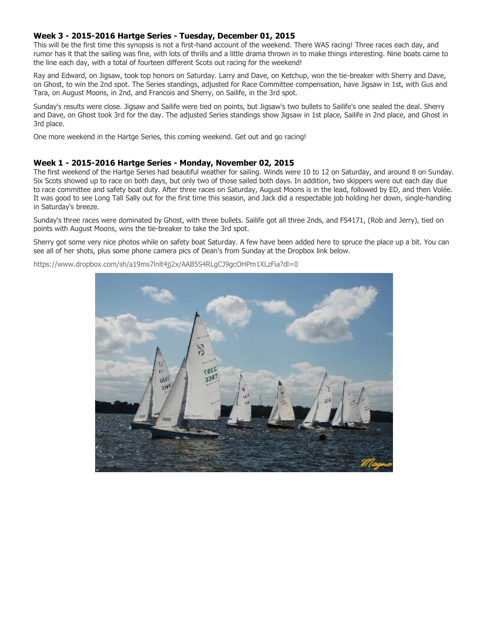# **Week 3 - 2015-2016 Hartge Series - Tuesday, December 01, 2015**

This will be the first time this synopsis is not a first-hand account of the weekend. There WAS racing! Three races each day, and rumor has it that the sailing was fine, with lots of thrills and a little drama thrown in to make things interesting. Nine boats came to the line each day, with a total of fourteen different Scots out racing for the weekend!

Ray and Edward, on Jigsaw, took top honors on Saturday. Larry and Dave, on Ketchup, won the tie-breaker with Sherry and Dave, on Ghost, to win the 2nd spot. The Series standings, adjusted for Race Committee compensation, have Jigsaw in 1st, with Gus and Tara, on August Moons, in 2nd, and Francois and Sherry, on Sailife, in the 3rd spot.

Sunday's results were close. Jigsaw and Sailife were tied on points, but Jigsaw's two bullets to Sailife's one sealed the deal. Sherry and Dave, on Ghost took 3rd for the day. The adjusted Series standings show Jigsaw in 1st place, Sailife in 2nd place, and Ghost in 3rd place.

One more weekend in the Hartge Series, this coming weekend. Get out and go racing!

## **Week 1 - 2015-2016 Hartge Series - Monday, November 02, 2015**

The first weekend of the Hartge Series had beautiful weather for sailing. Winds were 10 to 12 on Saturday, and around 8 on Sunday. Six Scots showed up to race on both days, but only two of those sailed both days. In addition, two skippers were out each day due to race committee and safety boat duty. After three races on Saturday, August Moons is in the lead, followed by ED, and then Volée. It was good to see Long Tall Sally out for the first time this season, and Jack did a respectable job holding her down, single-handing in Saturday's breeze.

Sunday's three races were dominated by Ghost, with three bullets. Sailife got all three 2nds, and FS4171, (Rob and Jerry), tied on points with August Moons, wins the tie-breaker to take the 3rd spot.

Sherry got some very nice photos while on safety boat Saturday. A few have been added here to spruce the place up a bit. You can see all of her shots, plus some phone camera pics of Dean's from Sunday at the Dropbox link below.

<https://www.dropbox.com/sh/a19ms7lnlt4jj2x/AAB5S4RLgCJ9gcOHPm1XLzFia?dl=0>

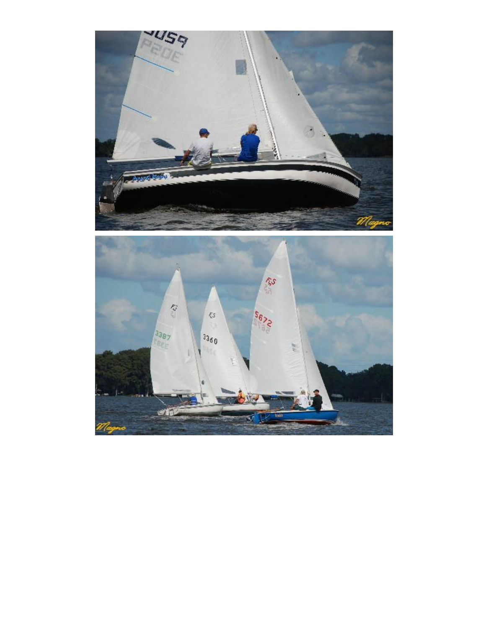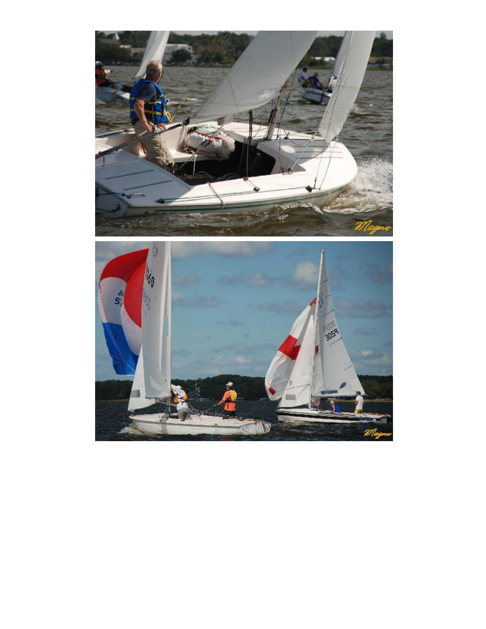

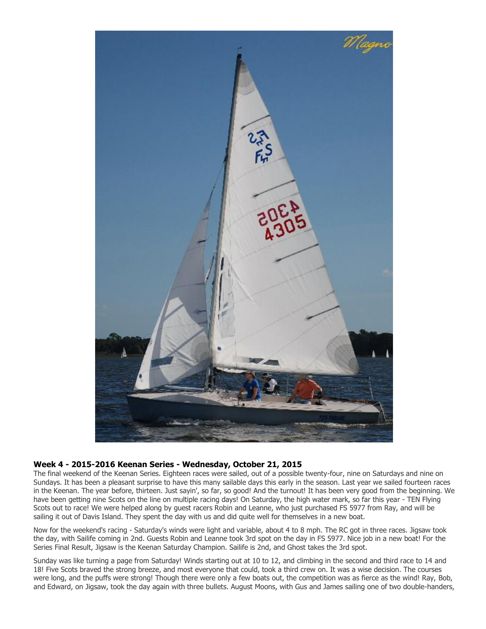

## **Week 4 - 2015-2016 Keenan Series - Wednesday, October 21, 2015**

The final weekend of the Keenan Series. Eighteen races were sailed, out of a possible twenty-four, nine on Saturdays and nine on Sundays. It has been a pleasant surprise to have this many sailable days this early in the season. Last year we sailed fourteen races in the Keenan. The year before, thirteen. Just sayin', so far, so good! And the turnout! It has been very good from the beginning. We have been getting nine Scots on the line on multiple racing days! On Saturday, the high water mark, so far this year - TEN Flying Scots out to race! We were helped along by guest racers Robin and Leanne, who just purchased FS 5977 from Ray, and will be sailing it out of Davis Island. They spent the day with us and did quite well for themselves in a new boat.

Now for the weekend's racing - Saturday's winds were light and variable, about 4 to 8 mph. The RC got in three races. Jigsaw took the day, with Sailife coming in 2nd. Guests Robin and Leanne took 3rd spot on the day in FS 5977. Nice job in a new boat! For the Series Final Result, Jigsaw is the Keenan Saturday Champion. Sailife is 2nd, and Ghost takes the 3rd spot.

Sunday was like turning a page from Saturday! Winds starting out at 10 to 12, and climbing in the second and third race to 14 and 18! Five Scots braved the strong breeze, and most everyone that could, took a third crew on. It was a wise decision. The courses were long, and the puffs were strong! Though there were only a few boats out, the competition was as fierce as the wind! Ray, Bob, and Edward, on Jigsaw, took the day again with three bullets. August Moons, with Gus and James sailing one of two double-handers,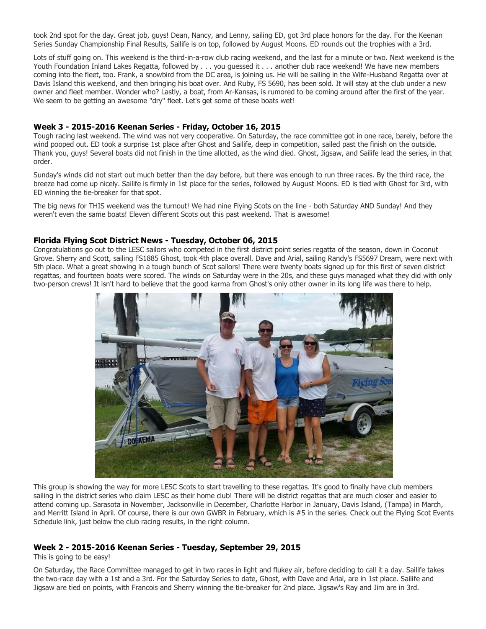took 2nd spot for the day. Great job, guys! Dean, Nancy, and Lenny, sailing ED, got 3rd place honors for the day. For the Keenan Series Sunday Championship Final Results, Sailife is on top, followed by August Moons. ED rounds out the trophies with a 3rd.

Lots of stuff going on. This weekend is the third-in-a-row club racing weekend, and the last for a minute or two. Next weekend is the Youth Foundation Inland Lakes Regatta, followed by . . . you guessed it . . . another club race weekend! We have new members coming into the fleet, too. Frank, a snowbird from the DC area, is joining us. He will be sailing in the Wife-Husband Regatta over at Davis Island this weekend, and then bringing his boat over. And Ruby, FS 5690, has been sold. It will stay at the club under a new owner and fleet member. Wonder who? Lastly, a boat, from Ar-Kansas, is rumored to be coming around after the first of the year. We seem to be getting an awesome "dry" fleet. Let's get some of these boats wet!

## **Week 3 - 2015-2016 Keenan Series - Friday, October 16, 2015**

Tough racing last weekend. The wind was not very cooperative. On Saturday, the race committee got in one race, barely, before the wind pooped out. ED took a surprise 1st place after Ghost and Sailife, deep in competition, sailed past the finish on the outside. Thank you, guys! Several boats did not finish in the time allotted, as the wind died. Ghost, Jigsaw, and Sailife lead the series, in that order.

Sunday's winds did not start out much better than the day before, but there was enough to run three races. By the third race, the breeze had come up nicely. Sailife is firmly in 1st place for the series, followed by August Moons. ED is tied with Ghost for 3rd, with ED winning the tie-breaker for that spot.

The big news for THIS weekend was the turnout! We had nine Flying Scots on the line - both Saturday AND Sunday! And they weren't even the same boats! Eleven different Scots out this past weekend. That is awesome!

# **Florida Flying Scot District News - Tuesday, October 06, 2015**

Congratulations go out to the LESC sailors who competed in the first district point series regatta of the season, down in Coconut Grove. Sherry and Scott, sailing FS1885 Ghost, took 4th place overall. Dave and Arial, sailing Randy's FS5697 Dream, were next with 5th place. What a great showing in a tough bunch of Scot sailors! There were twenty boats signed up for this first of seven district regattas, and fourteen boats were scored. The winds on Saturday were in the 20s, and these guys managed what they did with only two-person crews! It isn't hard to believe that the good karma from Ghost's only other owner in its long life was there to help.



This group is showing the way for more LESC Scots to start travelling to these regattas. It's good to finally have club members sailing in the district series who claim LESC as their home club! There will be district regattas that are much closer and easier to attend coming up. Sarasota in November, Jacksonville in December, Charlotte Harbor in January, Davis Island, (Tampa) in March, and Merritt Island in April. Of course, there is our own GWBR in February, which is #5 in the series. Check out the Flying Scot Events Schedule link, just below the club racing results, in the right column.

## **Week 2 - 2015-2016 Keenan Series - Tuesday, September 29, 2015**

This is going to be easy!

On Saturday, the Race Committee managed to get in two races in light and flukey air, before deciding to call it a day. Sailife takes the two-race day with a 1st and a 3rd. For the Saturday Series to date, Ghost, with Dave and Arial, are in 1st place. Sailife and Jigsaw are tied on points, with Francois and Sherry winning the tie-breaker for 2nd place. Jigsaw's Ray and Jim are in 3rd.